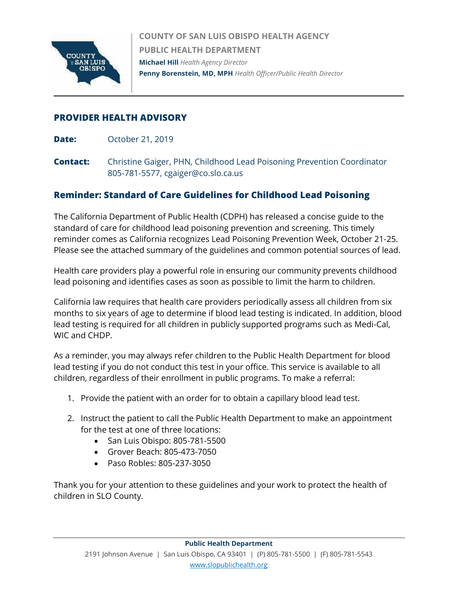

**COUNTY OF SAN LUIS OBISPO HEALTH AGENCY PUBLIC HEALTH DEPARTMENT Michael Hill** *Health Agency Director* **Penny Borenstein, MD, MPH** *Health Officer/Public Health Director*

## **PROVIDER HEALTH ADVISORY**

**Date:** October 21, 2019

**Contact:** Christine Gaiger, PHN, Childhood Lead Poisoning Prevention Coordinator 805-781-5577, cgaiger@co.slo.ca.us

# **Reminder: Standard of Care Guidelines for Childhood Lead Poisoning**

The California Department of Public Health (CDPH) has released a concise guide to the standard of care for childhood lead poisoning prevention and screening. This timely reminder comes as California recognizes Lead Poisoning Prevention Week, October 21-25. Please see the attached summary of the guidelines and common potential sources of lead.

Health care providers play a powerful role in ensuring our community prevents childhood lead poisoning and identifies cases as soon as possible to limit the harm to children.

California law requires that health care providers periodically assess all children from six months to six years of age to determine if blood lead testing is indicated. In addition, blood lead testing is required for all children in publicly supported programs such as Medi-Cal, WIC and CHDP.

As a reminder, you may always refer children to the Public Health Department for blood lead testing if you do not conduct this test in your office. This service is available to all children, regardless of their enrollment in public programs. To make a referral:

- 1. Provide the patient with an order for to obtain a capillary blood lead test.
- 2. Instruct the patient to call the Public Health Department to make an appointment for the test at one of three locations:
	- San Luis Obispo: 805-781-5500
	- Grover Beach: 805-473-7050
	- Paso Robles: 805-237-3050

Thank you for your attention to these guidelines and your work to protect the health of children in SLO County.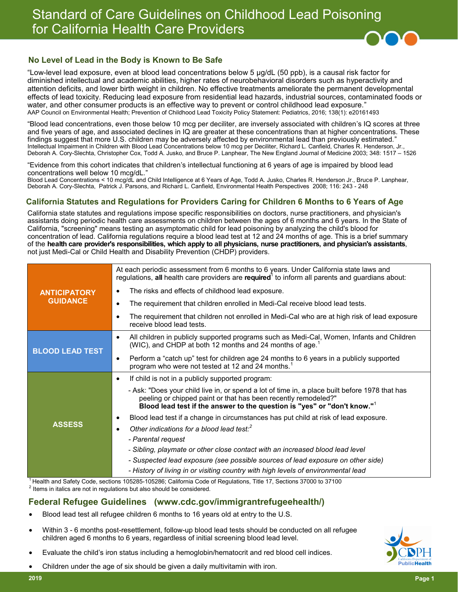# Standard of Care Guidelines on Childhood Lead Poisoning for California Health Care Providers



#### **No Level of Lead in the Body is Known to Be Safe**

"Low-level lead exposure, even at blood lead concentrations below 5 μg/dL (50 ppb), is a causal risk factor for diminished intellectual and academic abilities, higher rates of neurobehavioral disorders such as hyperactivity and attention deficits, and lower birth weight in children. No effective treatments ameliorate the permanent developmental effects of lead toxicity. Reducing lead exposure from residential lead hazards, industrial sources, contaminated foods or water, and other consumer products is an effective way to prevent or control childhood lead exposure." AAP Council on Environmental Health; Prevention of Childhood Lead Toxicity Policy Statement: Pediatrics, 2016; 138(1): e20161493

"Blood lead concentrations, even those below 10 mcg per deciliter, are inversely associated with children's IQ scores at three and five years of age, and associated declines in IQ are greater at these concentrations than at higher concentrations. These findings suggest that more U.S. children may be adversely affected by environmental lead than previously estimated." Intellectual Impairment in Children with Blood Lead Concentrations below 10 mcg per Deciliter, Richard L. Canfield, Charles R. Henderson, Jr., Deborah A. Cory-Slechta, Christopher Cox, Todd A. Jusko, and Bruce P. Lanphear, The New England Journal of Medicine 2003; 348: 1517 – 1526

"Evidence from this cohort indicates that children's intellectual functioning at 6 years of age is impaired by blood lead concentrations well below 10 mcg/dL."

Blood Lead Concentrations < 10 mcg/dL and Child Intelligence at 6 Years of Age, Todd A. Jusko, Charles R. Henderson Jr., Bruce P. Lanphear, Deborah A. Cory-Slechta, Patrick J. Parsons, and Richard L. Canfield, Environmental Health Perspectives 2008; 116: 243 - 248

#### **California Statutes and Regulations for Providers Caring for Children 6 Months to 6 Years of Age**

California state statutes and regulations impose specific responsibilities on doctors, nurse practitioners, and physician's assistants doing periodic health care assessments on children between the ages of 6 months and 6 years. In the State of California, "screening" means testing an asymptomatic child for lead poisoning by analyzing the child's blood for concentration of lead. California regulations require a blood lead test at 12 and 24 months of age. This is a brief summary of the **health care provider's responsibilities, which apply to all physicians, nurse practitioners, and physician's assistants**, not just Medi-Cal or Child Health and Disability Prevention (CHDP) providers.

|                                        | At each periodic assessment from 6 months to 6 years. Under California state laws and                                                                                                                                                                    |  |
|----------------------------------------|----------------------------------------------------------------------------------------------------------------------------------------------------------------------------------------------------------------------------------------------------------|--|
| <b>ANTICIPATORY</b><br><b>GUIDANCE</b> | regulations, all health care providers are required <sup>1</sup> to inform all parents and guardians about:                                                                                                                                              |  |
|                                        | The risks and effects of childhood lead exposure.                                                                                                                                                                                                        |  |
|                                        | The requirement that children enrolled in Medi-Cal receive blood lead tests.                                                                                                                                                                             |  |
|                                        | The requirement that children not enrolled in Medi-Cal who are at high risk of lead exposure<br>receive blood lead tests.                                                                                                                                |  |
| <b>BLOOD LEAD TEST</b>                 | All children in publicly supported programs such as Medi-Cal, Women, Infants and Children<br>(WIC), and CHDP at both 12 months and 24 months of age. <sup>1</sup>                                                                                        |  |
|                                        | Perform a "catch up" test for children age 24 months to 6 years in a publicly supported<br>program who were not tested at 12 and 24 months. <sup>1</sup>                                                                                                 |  |
| <b>ASSESS</b>                          | If child is not in a publicly supported program:<br>$\bullet$                                                                                                                                                                                            |  |
|                                        | - Ask: "Does your child live in, or spend a lot of time in, a place built before 1978 that has<br>peeling or chipped paint or that has been recently remodeled?"<br>Blood lead test if the answer to the question is "yes" or "don't know." <sup>1</sup> |  |
|                                        | Blood lead test if a change in circumstances has put child at risk of lead exposure.                                                                                                                                                                     |  |
|                                        | Other indications for a blood lead test: <sup>2</sup>                                                                                                                                                                                                    |  |
|                                        | - Parental request                                                                                                                                                                                                                                       |  |
|                                        | - Sibling, playmate or other close contact with an increased blood lead level                                                                                                                                                                            |  |
|                                        | - Suspected lead exposure (see possible sources of lead exposure on other side)                                                                                                                                                                          |  |
|                                        | - History of living in or visiting country with high levels of environmental lead                                                                                                                                                                        |  |

<sup>1</sup> Health and Safety Code, sections 105285-105286; California Code of Regulations, Title 17, Sections 37000 to 37100  $2$  Items in italics are not in regulations but also should be considered.

#### **Federal Refugee Guidelines (www.cdc.gov/immigrantrefugeehealth/)**

- Blood lead test all refugee children 6 months to 16 years old at entry to the U.S.
- Within 3 6 months post-resettlement, follow-up blood lead tests should be conducted on all refugee children aged 6 months to 6 years, regardless of initial screening blood lead level.
- Evaluate the child's iron status including a hemoglobin/hematocrit and red blood cell indices.
- Children under the age of six should be given a daily multivitamin with iron.